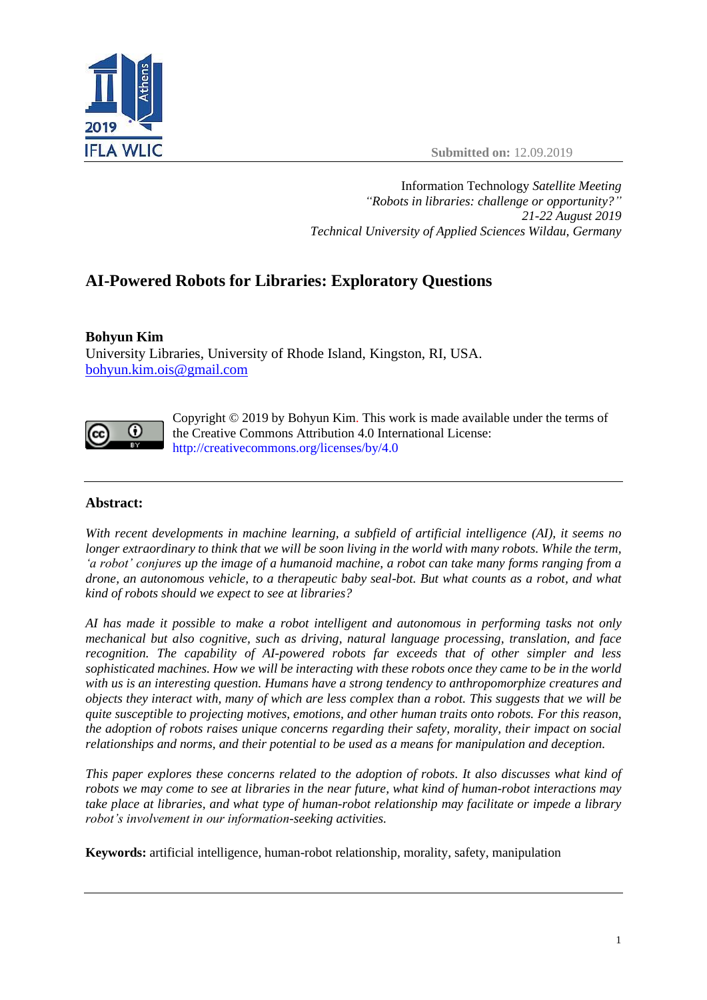



Information Technology *Satellite Meeting "Robots in libraries: challenge or opportunity?" 21-22 August 2019 Technical University of Applied Sciences Wildau, Germany*

# **AI-Powered Robots for Libraries: Exploratory Questions**

# **Bohyun Kim**

University Libraries, University of Rhode Island, Kingston, RI, USA. [bohyun.kim.ois@gmail.com](mailto:bohyun.kim.ois@gmail.com)



Copyright © 2019 by Bohyun Kim. This work is made available under the terms of the Creative Commons Attribution 4.0 International License: <http://creativecommons.org/licenses/by/4.0>

# **Abstract:**

*With recent developments in machine learning, a subfield of artificial intelligence (AI), it seems no longer extraordinary to think that we will be soon living in the world with many robots. While the term, 'a robot' conjures up the image of a humanoid machine, a robot can take many forms ranging from a drone, an autonomous vehicle, to a therapeutic baby seal-bot. But what counts as a robot, and what kind of robots should we expect to see at libraries?*

*AI has made it possible to make a robot intelligent and autonomous in performing tasks not only mechanical but also cognitive, such as driving, natural language processing, translation, and face recognition. The capability of AI-powered robots far exceeds that of other simpler and less sophisticated machines. How we will be interacting with these robots once they came to be in the world with us is an interesting question. Humans have a strong tendency to anthropomorphize creatures and objects they interact with, many of which are less complex than a robot. This suggests that we will be quite susceptible to projecting motives, emotions, and other human traits onto robots. For this reason, the adoption of robots raises unique concerns regarding their safety, morality, their impact on social relationships and norms, and their potential to be used as a means for manipulation and deception.* 

*This paper explores these concerns related to the adoption of robots. It also discusses what kind of robots we may come to see at libraries in the near future, what kind of human-robot interactions may take place at libraries, and what type of human-robot relationship may facilitate or impede a library robot's involvement in our information-seeking activities.* 

**Keywords:** artificial intelligence, human-robot relationship, morality, safety, manipulation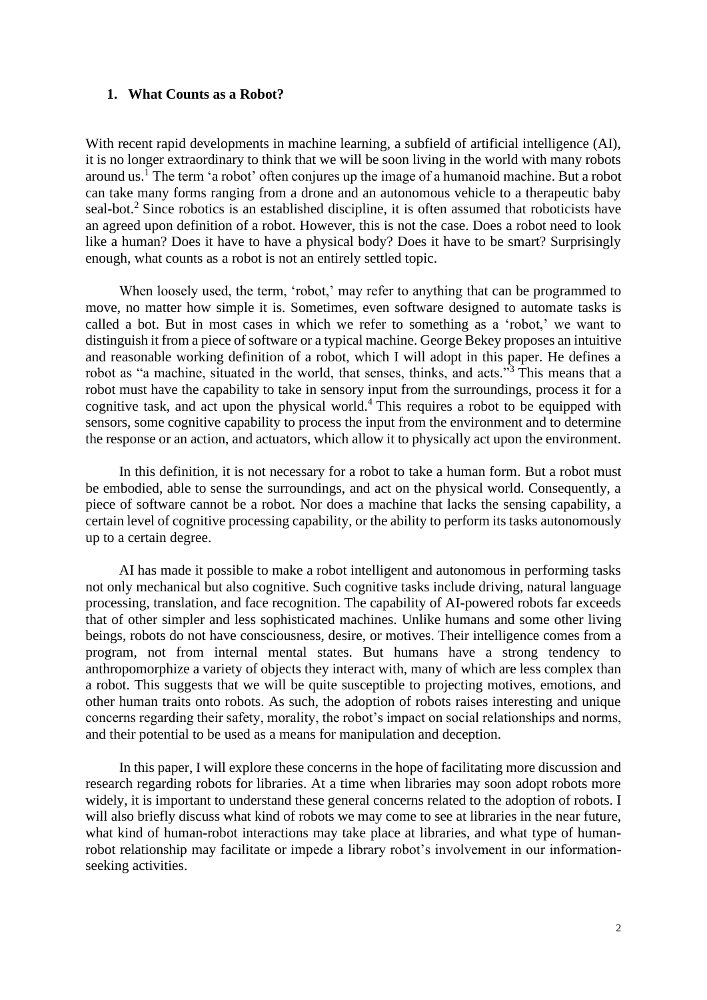#### **1. What Counts as a Robot?**

With recent rapid developments in machine learning, a subfield of artificial intelligence (AI), it is no longer extraordinary to think that we will be soon living in the world with many robots around us.<sup>1</sup> The term 'a robot' often conjures up the image of a humanoid machine. But a robot can take many forms ranging from a drone and an autonomous vehicle to a therapeutic baby seal-bot.<sup>2</sup> Since robotics is an established discipline, it is often assumed that roboticists have an agreed upon definition of a robot. However, this is not the case. Does a robot need to look like a human? Does it have to have a physical body? Does it have to be smart? Surprisingly enough, what counts as a robot is not an entirely settled topic.

When loosely used, the term, 'robot,' may refer to anything that can be programmed to move, no matter how simple it is. Sometimes, even software designed to automate tasks is called a bot. But in most cases in which we refer to something as a 'robot,' we want to distinguish it from a piece of software or a typical machine. George Bekey proposes an intuitive and reasonable working definition of a robot, which I will adopt in this paper. He defines a robot as "a machine, situated in the world, that senses, thinks, and acts."<sup>3</sup> This means that a robot must have the capability to take in sensory input from the surroundings, process it for a cognitive task, and act upon the physical world.<sup>4</sup> This requires a robot to be equipped with sensors, some cognitive capability to process the input from the environment and to determine the response or an action, and actuators, which allow it to physically act upon the environment.

In this definition, it is not necessary for a robot to take a human form. But a robot must be embodied, able to sense the surroundings, and act on the physical world. Consequently, a piece of software cannot be a robot. Nor does a machine that lacks the sensing capability, a certain level of cognitive processing capability, or the ability to perform its tasks autonomously up to a certain degree.

AI has made it possible to make a robot intelligent and autonomous in performing tasks not only mechanical but also cognitive. Such cognitive tasks include driving, natural language processing, translation, and face recognition. The capability of AI-powered robots far exceeds that of other simpler and less sophisticated machines. Unlike humans and some other living beings, robots do not have consciousness, desire, or motives. Their intelligence comes from a program, not from internal mental states. But humans have a strong tendency to anthropomorphize a variety of objects they interact with, many of which are less complex than a robot. This suggests that we will be quite susceptible to projecting motives, emotions, and other human traits onto robots. As such, the adoption of robots raises interesting and unique concerns regarding their safety, morality, the robot's impact on social relationships and norms, and their potential to be used as a means for manipulation and deception.

In this paper, I will explore these concerns in the hope of facilitating more discussion and research regarding robots for libraries. At a time when libraries may soon adopt robots more widely, it is important to understand these general concerns related to the adoption of robots. I will also briefly discuss what kind of robots we may come to see at libraries in the near future, what kind of human-robot interactions may take place at libraries, and what type of humanrobot relationship may facilitate or impede a library robot's involvement in our informationseeking activities.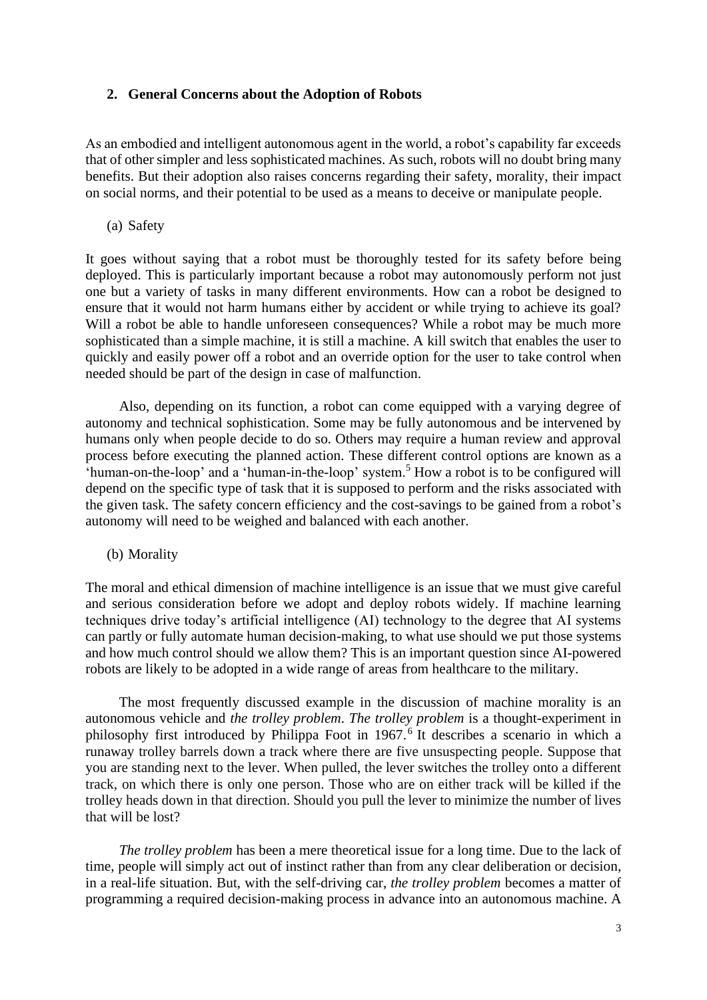## **2. General Concerns about the Adoption of Robots**

As an embodied and intelligent autonomous agent in the world, a robot's capability far exceeds that of other simpler and less sophisticated machines. As such, robots will no doubt bring many benefits. But their adoption also raises concerns regarding their safety, morality, their impact on social norms, and their potential to be used as a means to deceive or manipulate people.

(a) Safety

It goes without saying that a robot must be thoroughly tested for its safety before being deployed. This is particularly important because a robot may autonomously perform not just one but a variety of tasks in many different environments. How can a robot be designed to ensure that it would not harm humans either by accident or while trying to achieve its goal? Will a robot be able to handle unforeseen consequences? While a robot may be much more sophisticated than a simple machine, it is still a machine. A kill switch that enables the user to quickly and easily power off a robot and an override option for the user to take control when needed should be part of the design in case of malfunction.

Also, depending on its function, a robot can come equipped with a varying degree of autonomy and technical sophistication. Some may be fully autonomous and be intervened by humans only when people decide to do so. Others may require a human review and approval process before executing the planned action. These different control options are known as a 'human-on-the-loop' and a 'human-in-the-loop' system.<sup>5</sup> How a robot is to be configured will depend on the specific type of task that it is supposed to perform and the risks associated with the given task. The safety concern efficiency and the cost-savings to be gained from a robot's autonomy will need to be weighed and balanced with each another.

(b) Morality

The moral and ethical dimension of machine intelligence is an issue that we must give careful and serious consideration before we adopt and deploy robots widely. If machine learning techniques drive today's artificial intelligence (AI) technology to the degree that AI systems can partly or fully automate human decision-making, to what use should we put those systems and how much control should we allow them? This is an important question since AI-powered robots are likely to be adopted in a wide range of areas from healthcare to the military.

The most frequently discussed example in the discussion of machine morality is an autonomous vehicle and *the trolley problem*. *The trolley problem* is a thought-experiment in philosophy first introduced by Philippa Foot in 1967. 6 It describes a scenario in which a runaway trolley barrels down a track where there are five unsuspecting people. Suppose that you are standing next to the lever. When pulled, the lever switches the trolley onto a different track, on which there is only one person. Those who are on either track will be killed if the trolley heads down in that direction. Should you pull the lever to minimize the number of lives that will be lost?

*The trolley problem* has been a mere theoretical issue for a long time. Due to the lack of time, people will simply act out of instinct rather than from any clear deliberation or decision, in a real-life situation. But, with the self-driving car, *the trolley problem* becomes a matter of programming a required decision-making process in advance into an autonomous machine. A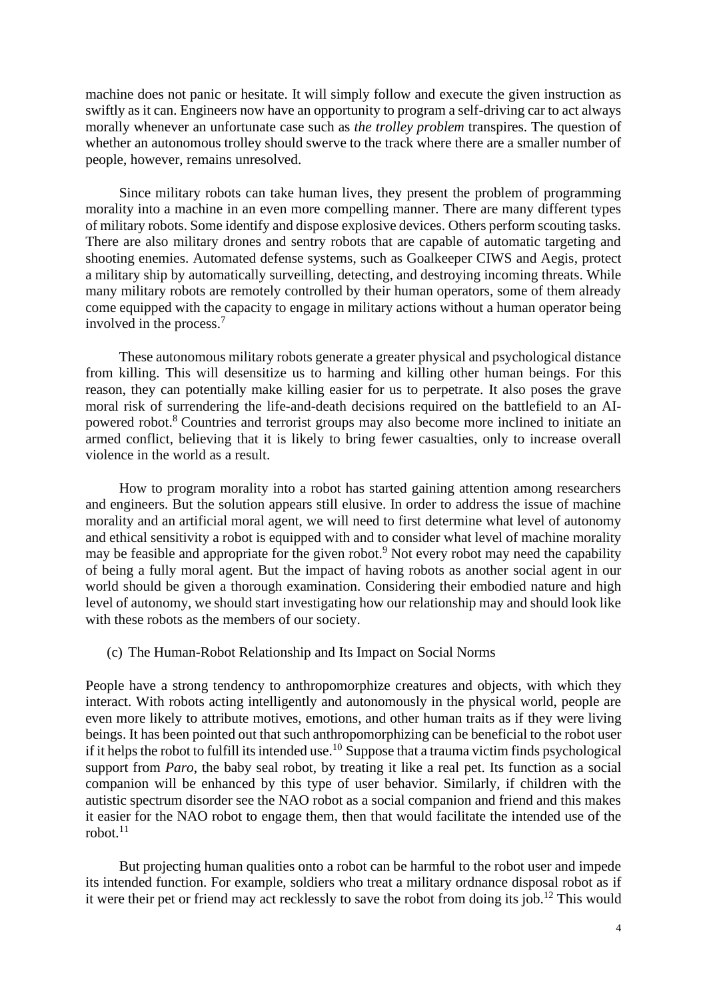machine does not panic or hesitate. It will simply follow and execute the given instruction as swiftly as it can. Engineers now have an opportunity to program a self-driving car to act always morally whenever an unfortunate case such as *the trolley problem* transpires. The question of whether an autonomous trolley should swerve to the track where there are a smaller number of people, however, remains unresolved.

Since military robots can take human lives, they present the problem of programming morality into a machine in an even more compelling manner. There are many different types of military robots. Some identify and dispose explosive devices. Others perform scouting tasks. There are also military drones and sentry robots that are capable of automatic targeting and shooting enemies. Automated defense systems, such as Goalkeeper CIWS and Aegis, protect a military ship by automatically surveilling, detecting, and destroying incoming threats. While many military robots are remotely controlled by their human operators, some of them already come equipped with the capacity to engage in military actions without a human operator being involved in the process.<sup>7</sup>

These autonomous military robots generate a greater physical and psychological distance from killing. This will desensitize us to harming and killing other human beings. For this reason, they can potentially make killing easier for us to perpetrate. It also poses the grave moral risk of surrendering the life-and-death decisions required on the battlefield to an AIpowered robot.<sup>8</sup> Countries and terrorist groups may also become more inclined to initiate an armed conflict, believing that it is likely to bring fewer casualties, only to increase overall violence in the world as a result.

How to program morality into a robot has started gaining attention among researchers and engineers. But the solution appears still elusive. In order to address the issue of machine morality and an artificial moral agent, we will need to first determine what level of autonomy and ethical sensitivity a robot is equipped with and to consider what level of machine morality may be feasible and appropriate for the given robot.<sup>9</sup> Not every robot may need the capability of being a fully moral agent. But the impact of having robots as another social agent in our world should be given a thorough examination. Considering their embodied nature and high level of autonomy, we should start investigating how our relationship may and should look like with these robots as the members of our society.

(c) The Human-Robot Relationship and Its Impact on Social Norms

People have a strong tendency to anthropomorphize creatures and objects, with which they interact. With robots acting intelligently and autonomously in the physical world, people are even more likely to attribute motives, emotions, and other human traits as if they were living beings. It has been pointed out that such anthropomorphizing can be beneficial to the robot user if it helps the robot to fulfill its intended use.<sup>10</sup> Suppose that a trauma victim finds psychological support from *Paro*, the baby seal robot, by treating it like a real pet. Its function as a social companion will be enhanced by this type of user behavior. Similarly, if children with the autistic spectrum disorder see the NAO robot as a social companion and friend and this makes it easier for the NAO robot to engage them, then that would facilitate the intended use of the robot. $11$ 

But projecting human qualities onto a robot can be harmful to the robot user and impede its intended function. For example, soldiers who treat a military ordnance disposal robot as if it were their pet or friend may act recklessly to save the robot from doing its job.<sup>12</sup> This would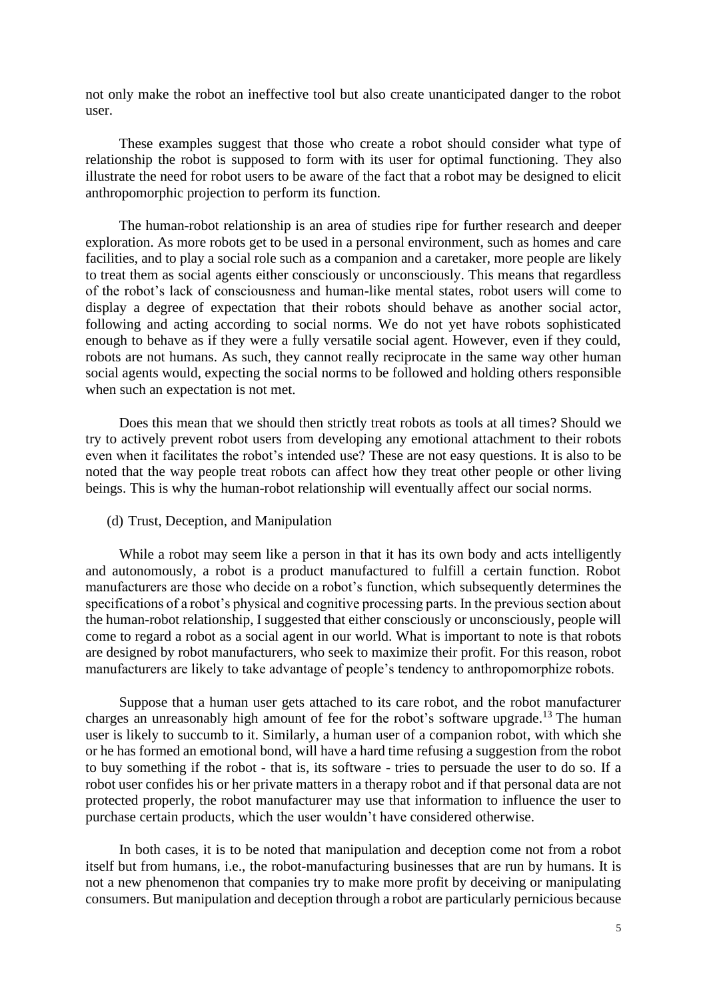not only make the robot an ineffective tool but also create unanticipated danger to the robot user.

These examples suggest that those who create a robot should consider what type of relationship the robot is supposed to form with its user for optimal functioning. They also illustrate the need for robot users to be aware of the fact that a robot may be designed to elicit anthropomorphic projection to perform its function.

The human-robot relationship is an area of studies ripe for further research and deeper exploration. As more robots get to be used in a personal environment, such as homes and care facilities, and to play a social role such as a companion and a caretaker, more people are likely to treat them as social agents either consciously or unconsciously. This means that regardless of the robot's lack of consciousness and human-like mental states, robot users will come to display a degree of expectation that their robots should behave as another social actor, following and acting according to social norms. We do not yet have robots sophisticated enough to behave as if they were a fully versatile social agent. However, even if they could, robots are not humans. As such, they cannot really reciprocate in the same way other human social agents would, expecting the social norms to be followed and holding others responsible when such an expectation is not met.

Does this mean that we should then strictly treat robots as tools at all times? Should we try to actively prevent robot users from developing any emotional attachment to their robots even when it facilitates the robot's intended use? These are not easy questions. It is also to be noted that the way people treat robots can affect how they treat other people or other living beings. This is why the human-robot relationship will eventually affect our social norms.

(d) Trust, Deception, and Manipulation

While a robot may seem like a person in that it has its own body and acts intelligently and autonomously, a robot is a product manufactured to fulfill a certain function. Robot manufacturers are those who decide on a robot's function, which subsequently determines the specifications of a robot's physical and cognitive processing parts. In the previous section about the human-robot relationship, I suggested that either consciously or unconsciously, people will come to regard a robot as a social agent in our world. What is important to note is that robots are designed by robot manufacturers, who seek to maximize their profit. For this reason, robot manufacturers are likely to take advantage of people's tendency to anthropomorphize robots.

Suppose that a human user gets attached to its care robot, and the robot manufacturer charges an unreasonably high amount of fee for the robot's software upgrade.<sup>13</sup> The human user is likely to succumb to it. Similarly, a human user of a companion robot, with which she or he has formed an emotional bond, will have a hard time refusing a suggestion from the robot to buy something if the robot - that is, its software - tries to persuade the user to do so. If a robot user confides his or her private matters in a therapy robot and if that personal data are not protected properly, the robot manufacturer may use that information to influence the user to purchase certain products, which the user wouldn't have considered otherwise.

In both cases, it is to be noted that manipulation and deception come not from a robot itself but from humans, i.e., the robot-manufacturing businesses that are run by humans. It is not a new phenomenon that companies try to make more profit by deceiving or manipulating consumers. But manipulation and deception through a robot are particularly pernicious because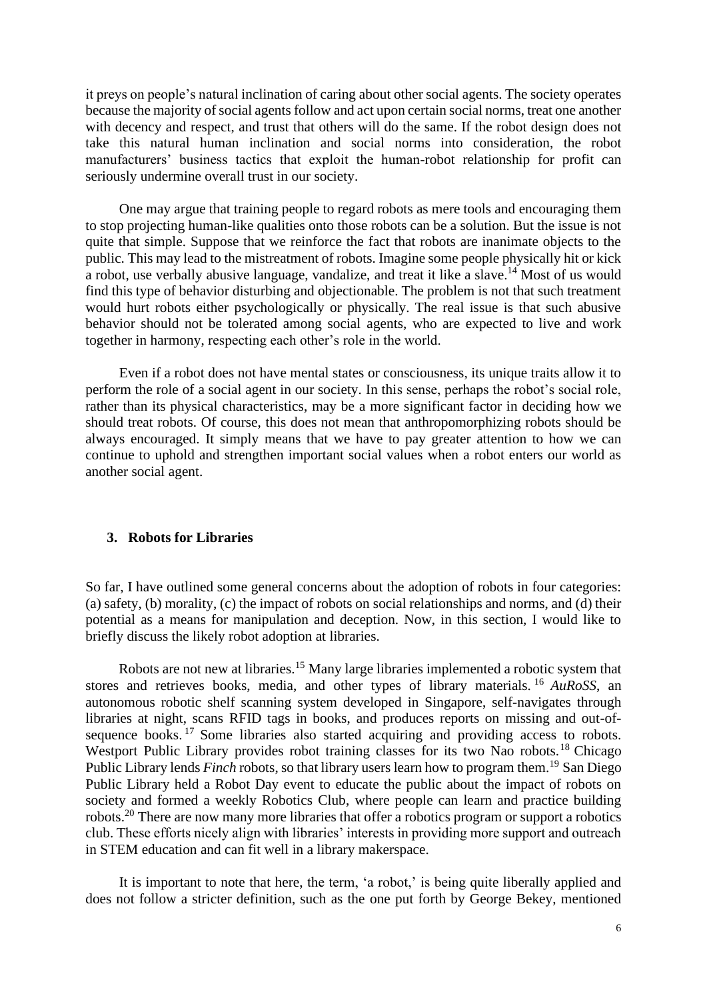it preys on people's natural inclination of caring about other social agents. The society operates because the majority of social agents follow and act upon certain social norms, treat one another with decency and respect, and trust that others will do the same. If the robot design does not take this natural human inclination and social norms into consideration, the robot manufacturers' business tactics that exploit the human-robot relationship for profit can seriously undermine overall trust in our society.

One may argue that training people to regard robots as mere tools and encouraging them to stop projecting human-like qualities onto those robots can be a solution. But the issue is not quite that simple. Suppose that we reinforce the fact that robots are inanimate objects to the public. This may lead to the mistreatment of robots. Imagine some people physically hit or kick a robot, use verbally abusive language, vandalize, and treat it like a slave.<sup>14</sup> Most of us would find this type of behavior disturbing and objectionable. The problem is not that such treatment would hurt robots either psychologically or physically. The real issue is that such abusive behavior should not be tolerated among social agents, who are expected to live and work together in harmony, respecting each other's role in the world.

Even if a robot does not have mental states or consciousness, its unique traits allow it to perform the role of a social agent in our society. In this sense, perhaps the robot's social role, rather than its physical characteristics, may be a more significant factor in deciding how we should treat robots. Of course, this does not mean that anthropomorphizing robots should be always encouraged. It simply means that we have to pay greater attention to how we can continue to uphold and strengthen important social values when a robot enters our world as another social agent.

### **3. Robots for Libraries**

So far, I have outlined some general concerns about the adoption of robots in four categories: (a) safety, (b) morality, (c) the impact of robots on social relationships and norms, and (d) their potential as a means for manipulation and deception. Now, in this section, I would like to briefly discuss the likely robot adoption at libraries.

Robots are not new at libraries.<sup>15</sup> Many large libraries implemented a robotic system that stores and retrieves books, media, and other types of library materials. <sup>16</sup> *AuRoSS*, an autonomous robotic shelf scanning system developed in Singapore, self-navigates through libraries at night, scans RFID tags in books, and produces reports on missing and out-ofsequence books.<sup>17</sup> Some libraries also started acquiring and providing access to robots. Westport Public Library provides robot training classes for its two Nao robots.<sup>18</sup> Chicago Public Library lends *Finch* robots, so that library users learn how to program them.<sup>19</sup> San Diego Public Library held a Robot Day event to educate the public about the impact of robots on society and formed a weekly Robotics Club, where people can learn and practice building robots.<sup>20</sup> There are now many more libraries that offer a robotics program or support a robotics club. These efforts nicely align with libraries' interests in providing more support and outreach in STEM education and can fit well in a library makerspace.

It is important to note that here, the term, 'a robot,' is being quite liberally applied and does not follow a stricter definition, such as the one put forth by George Bekey, mentioned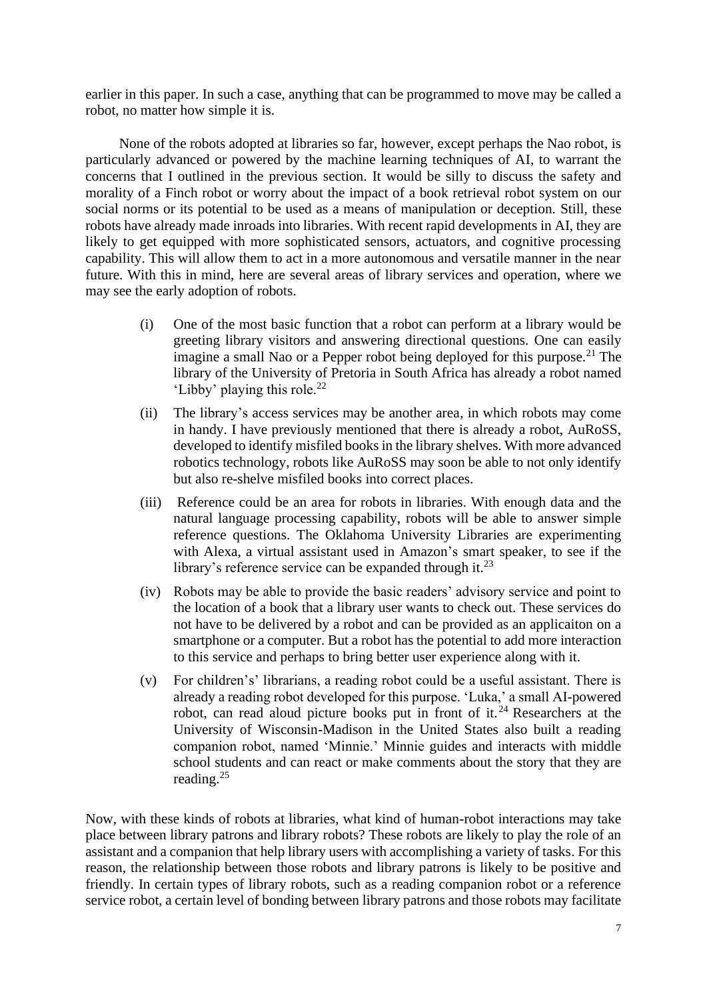earlier in this paper. In such a case, anything that can be programmed to move may be called a robot, no matter how simple it is.

None of the robots adopted at libraries so far, however, except perhaps the Nao robot, is particularly advanced or powered by the machine learning techniques of AI, to warrant the concerns that I outlined in the previous section. It would be silly to discuss the safety and morality of a Finch robot or worry about the impact of a book retrieval robot system on our social norms or its potential to be used as a means of manipulation or deception. Still, these robots have already made inroads into libraries. With recent rapid developments in AI, they are likely to get equipped with more sophisticated sensors, actuators, and cognitive processing capability. This will allow them to act in a more autonomous and versatile manner in the near future. With this in mind, here are several areas of library services and operation, where we may see the early adoption of robots.

- (i) One of the most basic function that a robot can perform at a library would be greeting library visitors and answering directional questions. One can easily imagine a small Nao or a Pepper robot being deployed for this purpose.<sup>21</sup> The library of the University of Pretoria in South Africa has already a robot named 'Libby' playing this role.<sup>22</sup>
- (ii) The library's access services may be another area, in which robots may come in handy. I have previously mentioned that there is already a robot, AuRoSS, developed to identify misfiled books in the library shelves. With more advanced robotics technology, robots like AuRoSS may soon be able to not only identify but also re-shelve misfiled books into correct places.
- (iii) Reference could be an area for robots in libraries. With enough data and the natural language processing capability, robots will be able to answer simple reference questions. The Oklahoma University Libraries are experimenting with Alexa, a virtual assistant used in Amazon's smart speaker, to see if the library's reference service can be expanded through it.<sup>23</sup>
- (iv) Robots may be able to provide the basic readers' advisory service and point to the location of a book that a library user wants to check out. These services do not have to be delivered by a robot and can be provided as an applicaiton on a smartphone or a computer. But a robot has the potential to add more interaction to this service and perhaps to bring better user experience along with it.
- (v) For children's' librarians, a reading robot could be a useful assistant. There is already a reading robot developed for this purpose. 'Luka,' a small AI-powered robot, can read aloud picture books put in front of it.<sup>24</sup> Researchers at the University of Wisconsin-Madison in the United States also built a reading companion robot, named 'Minnie.' Minnie guides and interacts with middle school students and can react or make comments about the story that they are reading.<sup>25</sup>

Now, with these kinds of robots at libraries, what kind of human-robot interactions may take place between library patrons and library robots? These robots are likely to play the role of an assistant and a companion that help library users with accomplishing a variety of tasks. For this reason, the relationship between those robots and library patrons is likely to be positive and friendly. In certain types of library robots, such as a reading companion robot or a reference service robot, a certain level of bonding between library patrons and those robots may facilitate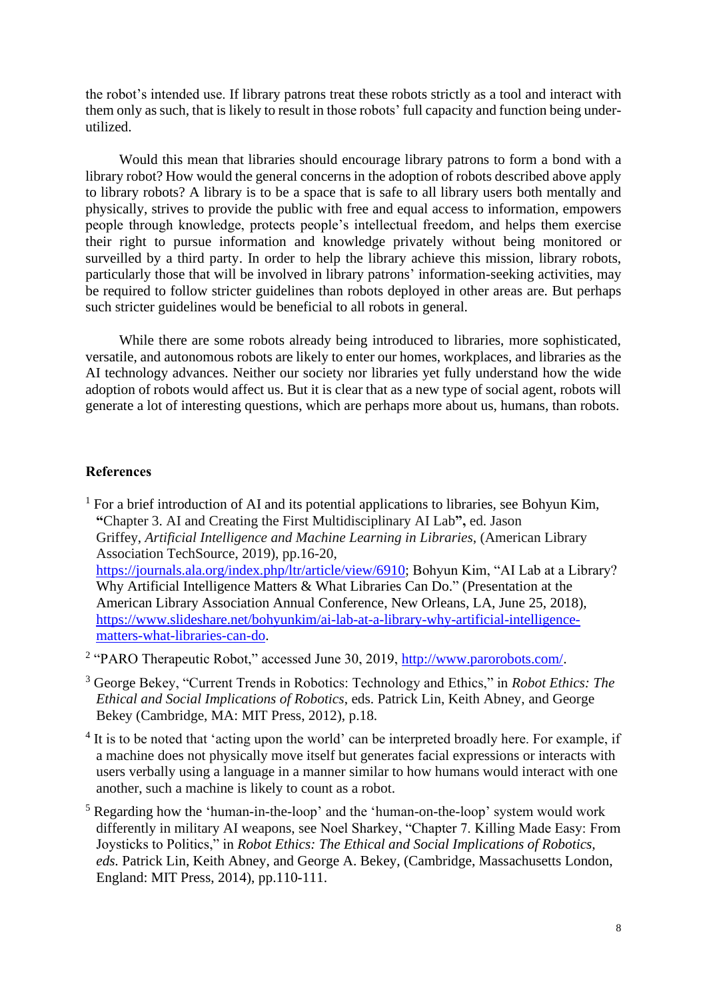the robot's intended use. If library patrons treat these robots strictly as a tool and interact with them only as such, that is likely to result in those robots' full capacity and function being underutilized.

Would this mean that libraries should encourage library patrons to form a bond with a library robot? How would the general concerns in the adoption of robots described above apply to library robots? A library is to be a space that is safe to all library users both mentally and physically, strives to provide the public with free and equal access to information, empowers people through knowledge, protects people's intellectual freedom, and helps them exercise their right to pursue information and knowledge privately without being monitored or surveilled by a third party. In order to help the library achieve this mission, library robots, particularly those that will be involved in library patrons' information-seeking activities, may be required to follow stricter guidelines than robots deployed in other areas are. But perhaps such stricter guidelines would be beneficial to all robots in general.

While there are some robots already being introduced to libraries, more sophisticated, versatile, and autonomous robots are likely to enter our homes, workplaces, and libraries as the AI technology advances. Neither our society nor libraries yet fully understand how the wide adoption of robots would affect us. But it is clear that as a new type of social agent, robots will generate a lot of interesting questions, which are perhaps more about us, humans, than robots.

#### **References**

 $<sup>1</sup>$  For a brief introduction of AI and its potential applications to libraries, see Bohyun Kim,</sup> **"**Chapter 3. AI and Creating the First Multidisciplinary AI Lab**",** ed. Jason Griffey, *Artificial Intelligence and Machine Learning in Libraries*, (American Library Association TechSource, 2019), pp.16-20, [https://journals.ala.org/index.php/ltr/article/view/6910;](https://journals.ala.org/index.php/ltr/article/view/6910) Bohyun Kim, "AI Lab at a Library? Why Artificial Intelligence Matters & What Libraries Can Do." (Presentation at the American Library Association Annual Conference, New Orleans, LA, June 25, 2018), [https://www.slideshare.net/bohyunkim/ai-lab-at-a-library-why-artificial-intelligence](https://www.slideshare.net/bohyunkim/ai-lab-at-a-library-why-artificial-intelligence-matters-what-libraries-can-do)[matters-what-libraries-can-do.](https://www.slideshare.net/bohyunkim/ai-lab-at-a-library-why-artificial-intelligence-matters-what-libraries-can-do)

<sup>2</sup> "PARO Therapeutic Robot," accessed June 30, 2019, [http://www.parorobots.com/.](http://www.parorobots.com/)

- <sup>3</sup> George Bekey, "Current Trends in Robotics: Technology and Ethics," in *Robot Ethics: The Ethical and Social Implications of Robotics*, eds. Patrick Lin, Keith Abney, and George Bekey (Cambridge, MA: MIT Press, 2012), p.18.
- <sup>4</sup> It is to be noted that 'acting upon the world' can be interpreted broadly here. For example, if a machine does not physically move itself but generates facial expressions or interacts with users verbally using a language in a manner similar to how humans would interact with one another, such a machine is likely to count as a robot.
- <sup>5</sup> Regarding how the 'human-in-the-loop' and the 'human-on-the-loop' system would work differently in military AI weapons, see Noel Sharkey, "Chapter 7. Killing Made Easy: From Joysticks to Politics," in *Robot Ethics: The Ethical and Social Implications of Robotics, eds.* Patrick Lin, Keith Abney, and George A. Bekey, (Cambridge, Massachusetts London, England: MIT Press, 2014), pp.110-111.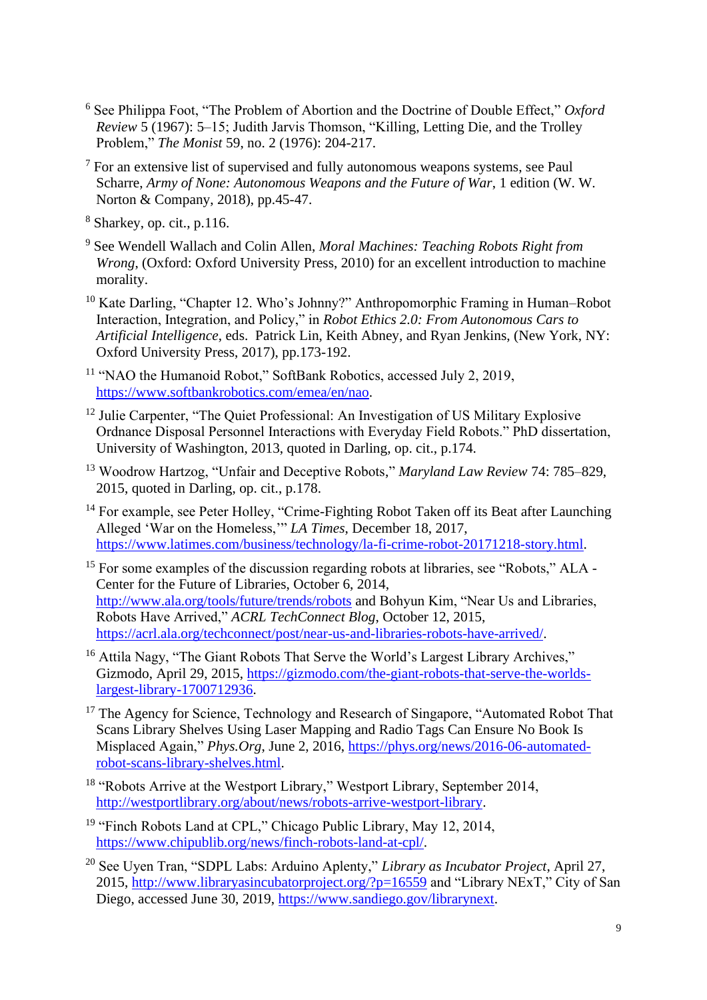- <sup>6</sup> See Philippa Foot, "The Problem of Abortion and the Doctrine of Double Effect," *Oxford Review* 5 (1967): 5–15; Judith Jarvis Thomson, "Killing, Letting Die, and the Trolley Problem," *The Monist* 59, no. 2 (1976): 204-217.
- $<sup>7</sup>$  For an extensive list of supervised and fully autonomous weapons systems, see Paul</sup> Scharre, *Army of None: Autonomous Weapons and the Future of War*, 1 edition (W. W. Norton & Company, 2018), pp.45-47.

<sup>8</sup> Sharkey, op. cit., p.116.

- <sup>9</sup> See Wendell Wallach and Colin Allen, *Moral Machines: Teaching Robots Right from Wrong*, (Oxford: Oxford University Press, 2010) for an excellent introduction to machine morality.
- <sup>10</sup> Kate Darling, "Chapter 12. Who's Johnny?" Anthropomorphic Framing in Human–Robot Interaction, Integration, and Policy," in *Robot Ethics 2.0: From Autonomous Cars to Artificial Intelligence*, eds. Patrick Lin, Keith Abney, and Ryan Jenkins, (New York, NY: Oxford University Press, 2017), pp.173-192.

<sup>11</sup> "NAO the Humanoid Robot," SoftBank Robotics, accessed July 2, 2019, [https://www.softbankrobotics.com/emea/en/nao.](https://www.softbankrobotics.com/emea/en/nao)

- <sup>12</sup> Julie Carpenter, "The Quiet Professional: An Investigation of US Military Explosive Ordnance Disposal Personnel Interactions with Everyday Field Robots." PhD dissertation, University of Washington, 2013, quoted in Darling, op. cit., p.174.
- <sup>13</sup> Woodrow Hartzog, "Unfair and Deceptive Robots," *Maryland Law Review* 74: 785–829, 2015, quoted in Darling, op. cit., p.178.
- <sup>14</sup> For example, see Peter Holley, "Crime-Fighting Robot Taken off its Beat after Launching Alleged 'War on the Homeless,'" *LA Times*, December 18, 2017, [https://www.latimes.com/business/technology/la-fi-crime-robot-20171218-story.html.](https://www.latimes.com/business/technology/la-fi-crime-robot-20171218-story.html)
- <sup>15</sup> For some examples of the discussion regarding robots at libraries, see "Robots," ALA -Center for the Future of Libraries, October 6, 2014, <http://www.ala.org/tools/future/trends/robots> and Bohyun Kim, "Near Us and Libraries, Robots Have Arrived," *ACRL TechConnect Blog*, October 12, 2015, [https://acrl.ala.org/techconnect/post/near-us-and-libraries-robots-have-arrived/.](https://acrl.ala.org/techconnect/post/near-us-and-libraries-robots-have-arrived/)
- <sup>16</sup> Attila Nagy, "The Giant Robots That Serve the World's Largest Library Archives," Gizmodo, April 29, 2015, [https://gizmodo.com/the-giant-robots-that-serve-the-worlds](https://gizmodo.com/the-giant-robots-that-serve-the-worlds-largest-library-1700712936)[largest-library-1700712936.](https://gizmodo.com/the-giant-robots-that-serve-the-worlds-largest-library-1700712936)
- <sup>17</sup> The Agency for Science, Technology and Research of Singapore, "Automated Robot That Scans Library Shelves Using Laser Mapping and Radio Tags Can Ensure No Book Is Misplaced Again," *Phys.Org*, June 2, 2016, [https://phys.org/news/2016-06-automated](https://phys.org/news/2016-06-automated-robot-scans-library-shelves.html)[robot-scans-library-shelves.html.](https://phys.org/news/2016-06-automated-robot-scans-library-shelves.html)
- <sup>18</sup> "Robots Arrive at the Westport Library," Westport Library, September 2014, [http://westportlibrary.org/about/news/robots-arrive-westport-library.](http://westportlibrary.org/about/news/robots-arrive-westport-library)
- <sup>19</sup> "Finch Robots Land at CPL," Chicago Public Library, May 12, 2014, [https://www.chipublib.org/news/finch-robots-land-at-cpl/.](https://www.chipublib.org/news/finch-robots-land-at-cpl/)
- <sup>20</sup> See Uyen Tran, "SDPL Labs: Arduino Aplenty," *Library as Incubator Project*, April 27, 2015,<http://www.libraryasincubatorproject.org/?p=16559> and "Library NExT," City of San Diego, accessed June 30, 2019, [https://www.sandiego.gov/librarynext.](https://www.sandiego.gov/librarynext)